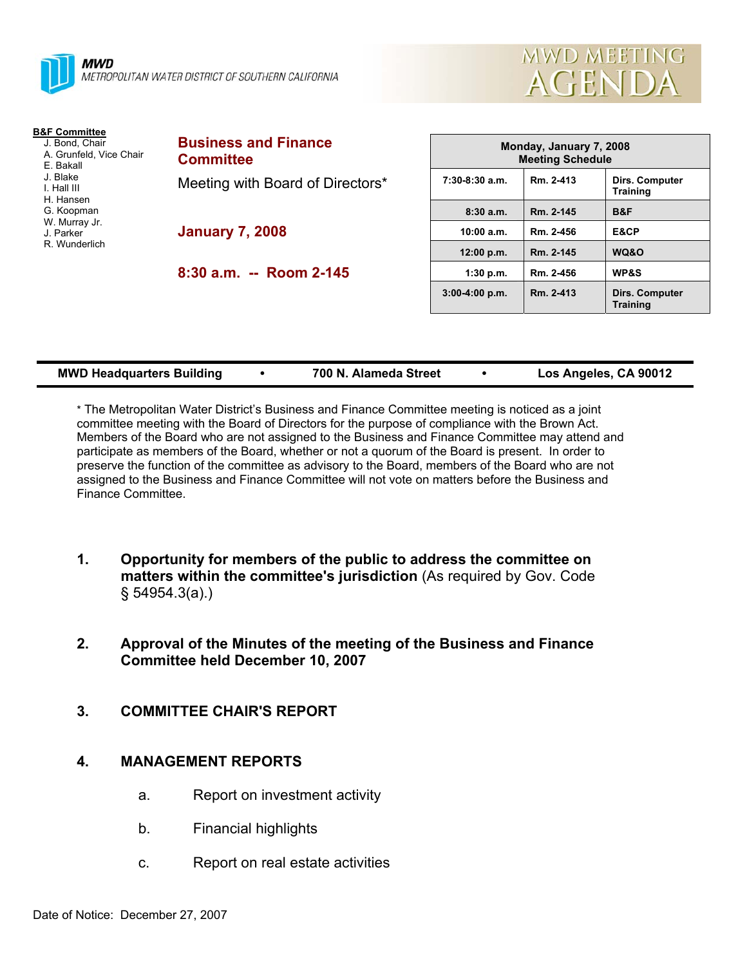



| <b>B&amp;F Committee</b>                               |                                                 |                  |
|--------------------------------------------------------|-------------------------------------------------|------------------|
| J. Bond, Chair<br>A. Grunfeld, Vice Chair<br>E. Bakall | <b>Business and Finance</b><br><b>Committee</b> | M                |
| J. Blake<br>I. Hall III<br>H. Hansen                   | Meeting with Board of Directors*                | $7:30-8:30$ a.m. |
| G. Koopman                                             |                                                 | 8:30a.m.         |
| W. Murray Jr.<br>J. Parker                             | <b>January 7, 2008</b>                          | 10:00 a.m.       |
| R. Wunderlich                                          |                                                 | 12:00 p.m.       |
|                                                        | 8:30 a.m. -- Room 2-145                         | 1:30 p.m.        |

| MUIJUAY, JAHUAI Y T, ZUUO<br><b>Meeting Schedule</b> |           |                                   |  |  |
|------------------------------------------------------|-----------|-----------------------------------|--|--|
| $7:30-8:30$ a.m.<br>Rm. 2-413                        |           | Dirs. Computer<br><b>Training</b> |  |  |
| 8:30a.m.                                             | Rm. 2-145 | B&F                               |  |  |
| 10:00 a.m.                                           | Rm. 2-456 | E&CP                              |  |  |
| 12:00 p.m.                                           | Rm. 2-145 | WQ&O                              |  |  |
| 1:30 p.m.                                            | Rm. 2-456 | <b>WP&amp;S</b>                   |  |  |
| $3:00-4:00$ p.m.                                     | Rm. 2-413 | Dirs. Computer<br><b>Training</b> |  |  |

**Monday, January 7, 2008** 

| <b>MWD Headquarters Building</b> |  | 700 N. Alameda Street |  | Los Angeles, CA 90012 |
|----------------------------------|--|-----------------------|--|-----------------------|
|----------------------------------|--|-----------------------|--|-----------------------|

\* The Metropolitan Water District's Business and Finance Committee meeting is noticed as a joint committee meeting with the Board of Directors for the purpose of compliance with the Brown Act. Members of the Board who are not assigned to the Business and Finance Committee may attend and participate as members of the Board, whether or not a quorum of the Board is present. In order to preserve the function of the committee as advisory to the Board, members of the Board who are not assigned to the Business and Finance Committee will not vote on matters before the Business and Finance Committee.

- **1. Opportunity for members of the public to address the committee on matters within the committee's jurisdiction** (As required by Gov. Code § 54954.3(a).)
- **2. Approval of the Minutes of the meeting of the Business and Finance Committee held December 10, 2007**
- **3. COMMITTEE CHAIR'S REPORT**

## **4. MANAGEMENT REPORTS**

- a. Report on investment activity
- b. Financial highlights
- c. Report on real estate activities